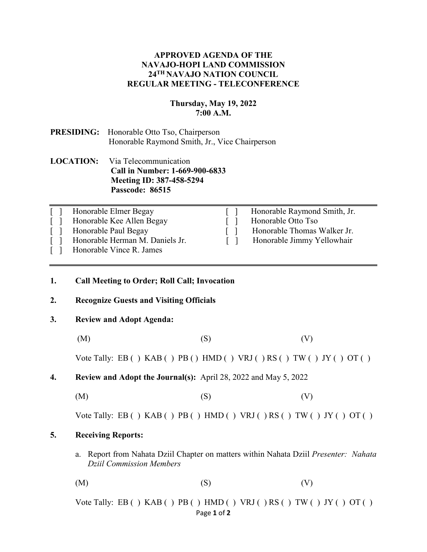# **APPROVED AGENDA OF THE NAVAJO-HOPI LAND COMMISSION 24TH NAVAJO NATION COUNCIL REGULAR MEETING - TELECONFERENCE**

### **Thursday, May 19, 2022 7:00 A.M.**

# **PRESIDING:** Honorable Otto Tso, Chairperson Honorable Raymond Smith, Jr., Vice Chairperson

# **LOCATION:** Via Telecommunication **Call in Number: 1-669-900-6833 Meeting ID: 387-458-5294 Passcode: 86515**

| Honorable Elmer Begay           | Honorable Raymond Smith, Jr. |
|---------------------------------|------------------------------|
| Honorable Kee Allen Begay       | Honorable Otto Tso           |
| Honorable Paul Begay            | Honorable Thomas Walker Jr.  |
| Honorable Herman M. Daniels Jr. | Honorable Jimmy Yellowhair   |
| Honorable Vince R. James        |                              |

### **1. Call Meeting to Order; Roll Call; Invocation**

### **2. Recognize Guests and Visiting Officials**

### **3. Review and Adopt Agenda:**

(M)  $(S)$  (V)

Vote Tally: EB ()  $KAB()PB()HMD() VRI()RS() TW() JY() OT()$ 

**4. Review and Adopt the Journal(s):** April 28, 2022 and May 5, 2022

 $(M)$  (S)  $(V)$ 

Vote Tally: EB ( )  $KAB$  ( )  $PB$  ( )  $HMD$  ( )  $VRJ$  ( )  $RS$  ( )  $TW$  ( )  $JY$  ( )  $OT$  ( )

# **5. Receiving Reports:**

a. Report from Nahata Dziil Chapter on matters within Nahata Dziil *Presenter: Nahata Dziil Commission Members*

 $(M)$  (S)  $(V)$ 

Page **1** of **2** Vote Tally: EB ( )  $KAB$  ( )  $PB$  ( )  $HMD$  ( )  $VRJ$  ( )  $RS$  ( )  $TW$  ( )  $JY$  ( )  $OT$  ( )